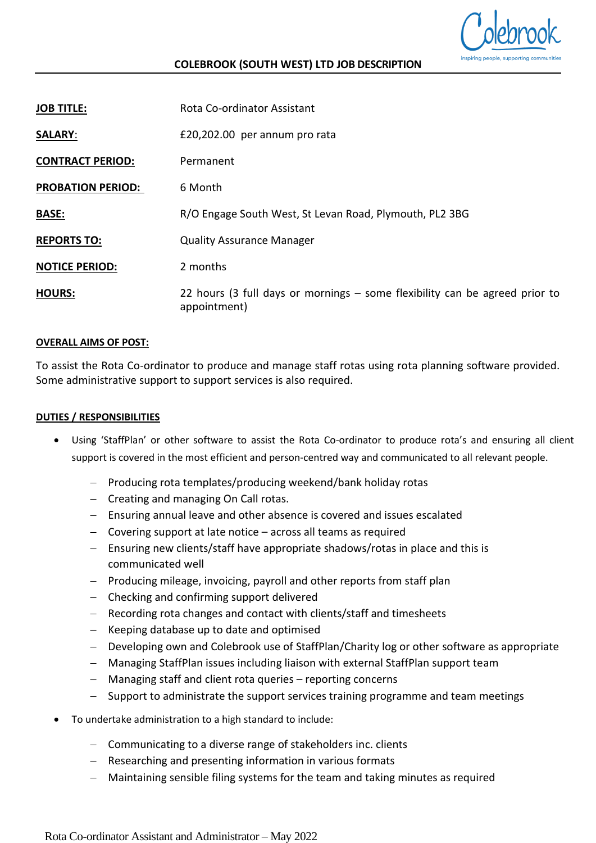

## **COLEBROOK (SOUTH WEST) LTD JOB DESCRIPTION**

| <b>JOB TITLE:</b>        | Rota Co-ordinator Assistant                                                                 |
|--------------------------|---------------------------------------------------------------------------------------------|
| <b>SALARY:</b>           | £20,202.00 per annum pro rata                                                               |
| <b>CONTRACT PERIOD:</b>  | Permanent                                                                                   |
| <b>PROBATION PERIOD:</b> | 6 Month                                                                                     |
| <b>BASE:</b>             | R/O Engage South West, St Levan Road, Plymouth, PL2 3BG                                     |
| <b>REPORTS TO:</b>       | <b>Quality Assurance Manager</b>                                                            |
| <b>NOTICE PERIOD:</b>    | 2 months                                                                                    |
| <b>HOURS:</b>            | 22 hours (3 full days or mornings – some flexibility can be agreed prior to<br>appointment) |

#### **OVERALL AIMS OF POST:**

To assist the Rota Co-ordinator to produce and manage staff rotas using rota planning software provided. Some administrative support to support services is also required.

#### **DUTIES / RESPONSIBILITIES**

- Using 'StaffPlan' or other software to assist the Rota Co-ordinator to produce rota's and ensuring all client support is covered in the most efficient and person-centred way and communicated to all relevant people.
	- − Producing rota templates/producing weekend/bank holiday rotas
	- − Creating and managing On Call rotas.
	- − Ensuring annual leave and other absence is covered and issues escalated
	- − Covering support at late notice across all teams as required
	- − Ensuring new clients/staff have appropriate shadows/rotas in place and this is communicated well
	- − Producing mileage, invoicing, payroll and other reports from staff plan
	- − Checking and confirming support delivered
	- − Recording rota changes and contact with clients/staff and timesheets
	- − Keeping database up to date and optimised
	- − Developing own and Colebrook use of StaffPlan/Charity log or other software as appropriate
	- − Managing StaffPlan issues including liaison with external StaffPlan support team
	- − Managing staff and client rota queries reporting concerns
	- − Support to administrate the support services training programme and team meetings
- To undertake administration to a high standard to include:
	- − Communicating to a diverse range of stakeholders inc. clients
	- − Researching and presenting information in various formats
	- − Maintaining sensible filing systems for the team and taking minutes as required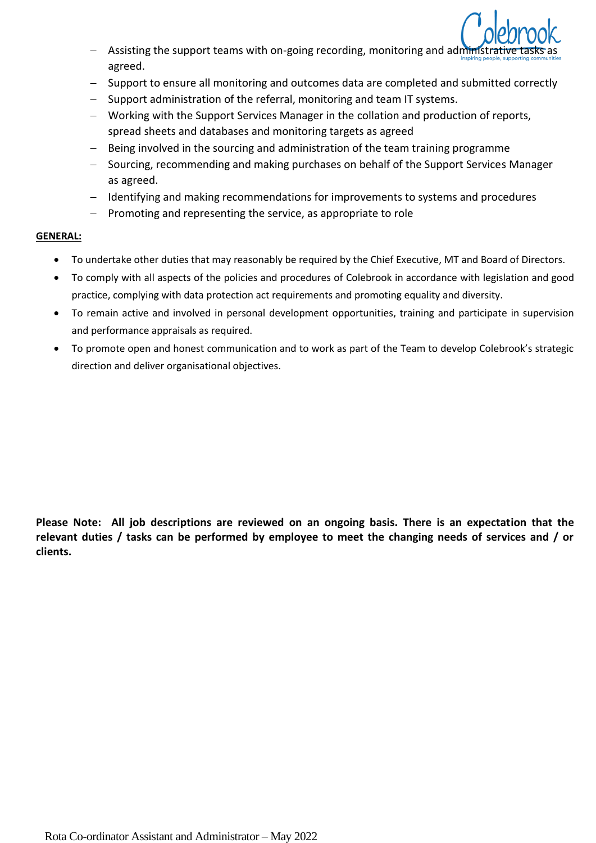

- Assisting the support teams with on-going recording, monitoring and administrative tasks as agreed.
- − Support to ensure all monitoring and outcomes data are completed and submitted correctly
- − Support administration of the referral, monitoring and team IT systems.
- − Working with the Support Services Manager in the collation and production of reports, spread sheets and databases and monitoring targets as agreed
- − Being involved in the sourcing and administration of the team training programme
- − Sourcing, recommending and making purchases on behalf of the Support Services Manager as agreed.
- − Identifying and making recommendations for improvements to systems and procedures
- Promoting and representing the service, as appropriate to role

### **GENERAL:**

- To undertake other duties that may reasonably be required by the Chief Executive, MT and Board of Directors.
- To comply with all aspects of the policies and procedures of Colebrook in accordance with legislation and good practice, complying with data protection act requirements and promoting equality and diversity.
- To remain active and involved in personal development opportunities, training and participate in supervision and performance appraisals as required.
- To promote open and honest communication and to work as part of the Team to develop Colebrook's strategic direction and deliver organisational objectives.

**Please Note: All job descriptions are reviewed on an ongoing basis. There is an expectation that the relevant duties / tasks can be performed by employee to meet the changing needs of services and / or clients.**